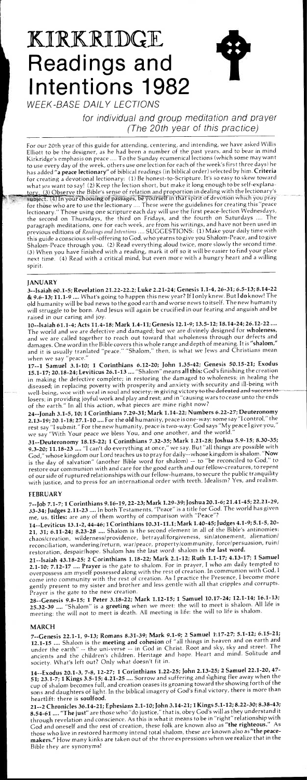# KIRKRIDGE **Readings and Intentions 1982**



WEEK-BASE DAILY LECTIONS

for individual and group meditation and prayer (The 20th year of this practice)

For our 20th year of this guide for attending, centering, and intending, we have asked Willis Elliott to be the designer, as he had been a number of the past years, and to bear in mind Kirkridge's emphasis on peace .... To the Sunday ecumenical lections (which some may want to use every day of the week, others use one lection for each of the week's first three days) he has added "a peace lectionary" of biblical readings (in biblical order) selected by him. Criteria for creating a devotional lectionary: (1) Be honest-to-Scripture. It's so easy to skew toward what *you* want to say! (2) Keep the lection short, but make it long enough to be self-explana-3 Observe the Bible's sense of relation and proportion in dealing with the lectionary's tory. (3) Observe the Bible's sense or relation and proportion in a same common which you pray<br>subject. (4) In your choosing of passages, be yourself in that spirit of devotion which you pray for those who are to use the lectionary .... These were the guidelines for creating this "peace Those using one scripture each day will use the first peace-lection Wednesdays, the second on Thursdays, the third on Fridays, and the fourth on Saturdays .... The paragraph meditations, one for each week, are from his writings, and have not been used in previous editions of *Readings and Intentions ....* SUGGESTIONS: (1) Make your daily time with this guide a conscious self-offering to God, who yearns to give you Shalom-Peace, and to give Shalom-Peace through you. (2) Read everything aloud twice, more slowly the second time. (3) When you have finished with a reading, mark it off so it will be easier to find your place next time. (4) Read with a critical mind, but even more with a hungry heart and a willing spirit.

# **JANUARY**

3--Isaiah 60.1-5; Revelation 21.22-22.2; Luke 2.21-24; Genesis 1.1-4, 26-31; 6.5-13; 8.14-22 & 9.6-13; 11.1-9 .... What's going to happen this new year? If I only knew. But I do know! The old humanity will be bad news to the good earth and worse news to itself. The new humanity will struggle to be born. And Jesus will again be crucified in our fearing and anguish and be raised in our caring and joy.

10--Isaiah 61.1-4; Acts 11.4-18; Mark 1.4-11; Genesis 12.1-9; 13.5-12; 18.14-24; 26.12-22 .... The world and we are defective and damaged; but we are divinely designed for wholeness, and we are called together to reach out toward that wholeness through our defects and damages. One word in the Bible covers this whole range and depth of meaning. It is "shalom," and it is usually tranlated "peace." "Shalom," then, is what we Jews and Christians mean when we say "peace."

28--Genesis 9.8-15; 1 Peter 3.18-22; Mark 1.12-15; 1 Samuel 10.17-24; 12.1-14; 16.1-13; 25.32-39 .... "Shalom" is a greeting when we meet: the will to meet is shalom. All life is meeting: the will not to meet is death. All meeting is life: the will to life is shalom. th. All meeting is life: the will to life is shalom.

17--1 Samuel 3.1-10; 1 Corinthians 6.12-20; John 1.35-42; Genesis 50.15-21; Exodus 15.1-17; 20.18-24; Leviticus 26.1-13 .... "Shalom" means all this: God's finishing the creation in making the defective complete; in restoring the damaged to wholeness; in healing the diseased; in replacing poverty with prosperity and anxiety with security and ill-being with well-being, woe with weal in soul and society; in giving victory to the defeated and success to losers; in providing joyful work and play and rest; and in "causing wars to cease unto the ends of the earth." In all this action, what pieces are mine right now?

24--Jonah 3.1-5, 10; 1 Corinthians 7.29-31; Mark 1.14-22; Numbers 6.22-27; Deuteronomy 2.13-19; 20.1-18; 27.1-10 .... For the old humanity, peace is one-way: some say "I control," the rest say "I submit." For the new humanity, peace is two-way: God says "My peace I give you," we say "With Your peace we bless You, and one another, and the world."

31--Deuteronomy 18.15-22; 1 Corinthians 7.32-35; Mark 1.21-28; Joshua 5.9-15; 8.30-35; 9.3-20; 11.18-23 .... "I can't do everything at once," we say. But "all things are possible with God," whose kingdom our Lord teaches us to pray for daily--whose kingdom is shalom. "Now is the day of salvation" (another Bible word for shalom) -- to "be reconciled to God," to restore our communion with and care for the good earth and our fellow-creatures, to repent of our side of ruptured relationships with our fellow-humans, to secure the public tranquility with justice, and to press for an international order with teeth. Idealism? Yes, and realism.

## **FEBRUARY**

7--Job 7.1-7; 1 Corinthians 9.16-19, 22-23; Mark 1.29-39; Joshua 20.1-6; 21.41-45; 22.21-29, 33-34; Judges 2.11-23 .... In both Testaments, "Peace" is a title for God. The world has given me, us, titles: are any of them worthy of comparison with "Peace"?

14--Leviticus 13.1-2, 44-46; 1 Corinthians 10.31-11.1; Mark 1.40-45; Judges 4.1-9; 5.1-5, 20- 21, 31; 6.11-24; 8.23-28 .... Shalom is the second element in all of the Bible's antinomies: chaos/creation, wilderness/providence, betrayal/forgiveness, sinlatonement, alienation/ reconciliation, wanderinglreturn, war/peace, property/community, force/persuasion, ruin/ restoration, despair/hope. Shalom has the last word: shalom is the last word.

21--Isaiah 43.18-25; 2 Corinthians 1.18-22; Mark 2.1-12; Ruth 1.1-17; 4.13-17; 1 Samuel 2.1-10; 7.12-17 .... Prayer is the gate to shalom. For in prayer, I who am daily tempted to overpossess am myself possessed along with the rest of creation. In communion with God, I come into community with the rest of creation. As I practice the Presence, I become more gently present to my sister and brother and less gentle with all that cripples and corrupts. Prayer is the gate to the new creation.

## MARCH

7--Genesis 22.1-1, 9-13; Romans 8.31-39; Mark 9.1-9; 2 Samuel L17-27; 5.1-12; 6.15-21; 12.1-15 .... Shalom is the meeting and cohesion of "all things in heaven and on earth and under the earth" -- the uni-verse -- in God in Christ. Root and sky, sky and street. The ancients and the children's children. Heritage and hope. Heart and mind. Solitude and society. What's left out? Only what doesn't fit in.

14--Exodus 20.1-3, 7-8, 12-27; 1 Corinthians 1.22-25; John 2.13-25; 2 Samuel 22.1-20, 47- 51; 23.1-7; 1 Kings 3.5-15; 4.21-25 .... Sorrow and suffering and sighing flee away when the cup of shalom becomes full, and creation ceases its groaning toward the showing forth of the sons and daughters of light. In the biblical imagery of God's final victory, there is more than heartlift: there is soulfood.

21--2 Chronicles 36.14-21; Ephesians 2.1-10; John 3.14-21; 1 Kings 5.1-12; 8.22-30; 8.38-43; 8.54-61 .... "The just" are those who "do justice," that is, obey God's will as they understand it through revelation and conscience. As this is what it means to be in "right" relationship with<br>Containing the right and the rest of creation, these folk are known also as "the righteous." As God and oneself and the rest of creation, these folk are known also as "the righteous." those who live in restored harmony intend total shalom, these are known also as "the peacemakers." How many kinks are taken out of the three expressions when we realize that in the Bible they are synonyms!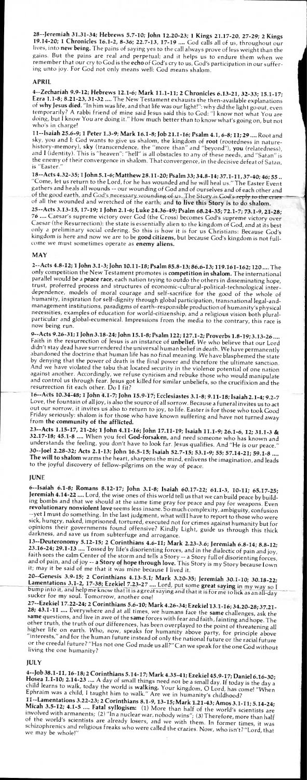28--Jeremiah 31.31-34; Hebrews 5.7-10; John 12.20-23; 1 Kings 21.17-20, 27-29; 2 Kings 19.14-20; 1 Chronicles 16.1-2, 8-36; 22.7-13, 17-19 .... God calls all of us, throughout our lives, into new being. The pains of saying yes to the call always prove of less weight than the gains. But the pains are real and perpetual; and it helps us to endure them when we remember that our cry to God is the echo of God's cry to us, God's participation in our suffering unto joy. For God not only means well: God means shalom.

4--Zechariah 9.9-12; Hebrews 12.1-6; Mark 11.1-11; 2 Chronicles 6.13-21, 32-33; 15.1-17; Ezra 1.1 -8; 8.21 -23, 31 -32 .... The New Testament exhausts the then-available explanations of **why** Jesus **died.** "In him was life, and that life was our light!": why did the light go out, even temporarily? A rabbi friend of mine said Jesus said this to God: "I know not what You are doing, but I know You are doing it." How much better than to know what's going on, but not who's in charge!

#### APRIL

11--Isaiah 25.6 -9; 1 Peter 1.3 -9; Mark 16.1 -8; Job 21.1 -16; Psalm 4.1, 6 -8; 11; 29.... Root and sky, you and I: God wants to give us shalom, the kingdom of root (rootedness in naturehistory-memory), **sky** (transcendence, the "more than" and "beyond"), you (relatedness), and I (identity). This is "heaven": "hell" is all obstacles to any of these needs, and "Satan" is the enemy of their convergence in shalom. That convergence, in the decisive defeat of Satan, is "Easter."

18--Acts 4.32 -35; 1 John 5.1 -6; Matthew 28.11 -20; Psalm 33; 34.8 -14; 37.1 -11, 37-40; 46; 55.. "Come, let us return to the Lord, for he has wounded and he will heal us." The Easter Event gathers and heals all wounds -- our wounding of God and of ourselves and of each other and of the good earth, and God's necessary wounding of us. The Story is God's reply to the cries of all the wounded and wretched of the earth; and to live this Story is to do shalom.

25--Acts 3.13 -15, 17-19; 1 John 2.1 -6; Luke 24.36 -49; Psalm 68.24 -35; 72.1 -7; 73.1 -9, 21 -28; 76 .... Caesar's supreme victory over God (the Cross) becomes God's supreme victory over Caesar (the Resurrection): the state is essentially alien to the kingdom of God, and at its best only a preliminary social ordering. So this is how it is for us Christians: Because God's kingdom is here and now we are to be good citizens, but because God's kingdom is not fullcome we must sometimes operate as enemy aliens.

#### MAY

23--Acts 1.15-17, 21-26; 1 John 4.11-16; John 17.11-19; Isaiah 11.1-9; 26.1-6, 12; 31.1-3 & 32.17-18; 45.1-8 .... When you feel God-forsaken, and need someone who has known and understands the feeling, you don't have to look far. Jesus qualifies. And "He is our peace." 30--Joel 2.28-32; Acts 2.1 -13; John 16.5-15; Isaiah 52.7-15; 53.1 -9; 55; 57.14 -21; 59.1 -8 .... **The will to shalom** warms the heart, sharpens the mind, enlivens the imagination, and leads to the joyful discovery of fellow-pilgrims on the way of peace.

#### **IUNE**

6--Isaiah 6.1-8; Romans 8.12-17; John 3.1-8; Isaiah 60.17-22; 61.1-3, 10-11; 65.17-25; Jeremiah 4.14-22 .... Lord, the wise ones of this world tell us that we can build peace by building bombs and that we should at the same time pray for peace and pay for weapons. Even revolutionary nonviolent **love** seems less insane. So much complexity, ambiguity, confusion --yet I must do something. In the last judgment, what will I have to report to those who were sick, hungry, naked, imprisoned, tortured, executed not for crimes against humanity but for opinions their governments found offensive? Kindly Light, guide us through this thick darkness, and save us from subterfuge and arrogance.<br>13--Deuteronomy 5.12-15; 2 Corinthians 4.6-11; Mark 2.23-3.6; Jeremiah 6.8-14; 8.8-12;

2--Acts 4.8-12; 1 John 3.1-3; John 10.11-18; Psalm 85.8-13; 86.6-13; 119.161-162; 120 .... The only competition the New Testament promotes is competition in **shalom.** The international parallel would be a peace race, each nation trying to outdo the others in disseminating hope, trust, proferred process and structures of economic-cultural-political-technological interdependence, models of moral courage and self-sacrifice for the good of the whole of humanity, inspiration for self-dignity through global participation, transnational legal-andmanagement institutions, paradigms of earth-responsible production of humanity's physical necessities, examples of education for world-citizenship, and a religious vision both pluralparticular and global-ecumenical. Impressions from the media to the contrary, this race is now being run.

23.16-24; 29.1-13 .... Tossed by life's disorienting forces, and in the dialectic of pain and joy, faith sees the calm Center of the storm and tells a Story -- a Story full of disorienting forces, and of pain, and of joy -- **a Story of hope through love.** This Story is my Story because I own it; may it be said of me that it was mine because I lived it.

20--Genesis 3.9-15; 2 Corinthians 4.13-5.1; Mark 3.20-35; Jeremiah 30.1-10; 30.18-22; Lamentations 3.1-2, 17-38; Ezekiel 7.23-27 .... Lord, put some great saying in my way so I<br>bump into it, and help me know that it is a great saying and that it is for me to lick as an all-day

sucker for my soul. Tomorrow, another one!<br>27--Ezekiel 17.22-24; 2 Corinthians 5.6-10; Mark 4.26-34; Ezekiel 13.1-16; 34.20-28; 37.21-28; 43.1-11 .... Everywhere and at all times, we humans face the same challenges, ask the same questions, and live in awe of the same forces with fear and faith, fainting and hope. The other truth, the truth of our differences, has been overplayed to the point of threatening all higher life on earth. Who, now, speaks for humanity above party, for principle above "interests," and for the human future instead of only the national future or the racial future or the creedal future? "Has not one God made us all?" Can we speak for the one God without living the one humanity?

4--Job 38.1-11, 16-18; 2 Corinthians 5.14-17; Mark 4.35-41; Ezekiel 45.9-17; Daniel 6.16-30; Hosea 1.1-10; 2.14-23 .... A day of small things need not be a small day. If today is the day a child learns to walk, today the world is walking. Your kingdom, 0 Lord, has come! "When Ephraim was a child, I taught him to walk." Are we in humanity's childhood?

9--Acts 9.26 -31; 1 John 3.18 -24; John 15.1 -8; Psalm 122; 127.1 -2; Proverbs 1.8 -19;3.13 -26 .... Faith in the resurrection of Jesus is an instance of **unbelief.** We who believe that our Lord didn't stay dead have surrendered the universal human belief in death. We have permanently abandoned the doctrine that human life has no final meaning. We have blasphemed the state by denying that the power of death is the final power and therefore the ultimate sanction. And we have violated the tabu that located security in the violence potential of one nation against another. Accordingly, we refuse cynicism and rebuke those who would manipulate and control us through fear. Jesus got killed for similar un beliefs, so the crucifixion and the resurrection fit each other. Do I fit?

Micah 3.5-12; 4.1-5 .... Fatal syllogism: (1) More than half of the world's scientists are<br>involved with armanents; (2) "In a nuclear war, nobody wins"; (3) Therefore, more than half 11--Lamentations 3.22 -23; 2 Corinthians 8.1 -9, 13-15; Mark 1.21 -43; Amos 3.1 -11; 5.14-24; of the world's scientists are already losers, and we with them. In former times, it was schizophrenics and religious freaks who were called the crazies. Now, who isn't? "Lord, that we may be whole!"

16--ACts 10.34 -48; 1 John 4.1 -7; John 15.9-17; Ecclesiastes 3.1 -8; 9.11 -18; Isaiah 2.1 -4; 9.2 -<sup>7</sup> Love, the fountain of all joy, is also the source of all sorrow. Because a funeral invites us to act out our sorrow, it invites us also to return to joy, to life. Easter is for those who took Good Friday seriously: shalom is for those who have known suffering and have not turned away from **the community of the afflicted.** 

## JULY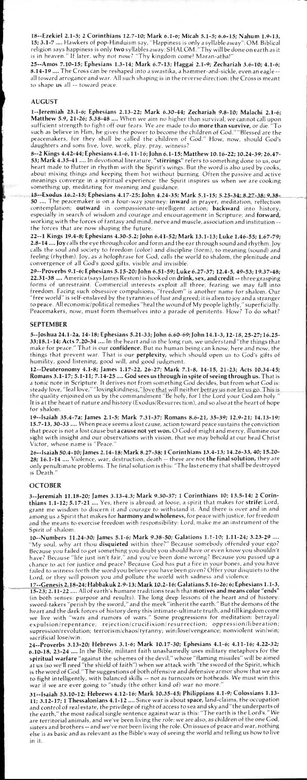18--Ezekiel 2.1-5; 2 Corinthians 12.7-10; Mark 6.1-6; Micah 5.1-5; 6.6-15; Nahum 1.9-13, 15; 3.1 -7 .... Hawkers of pop-Hinduism say, "Happiness is only a syllable away": OM. Biblical religion says happiness is only two syllables away: SHALOM. "Thy will be done on earth as it is in heaven." If later, why not now? "Thy kingdom come! Maran-atha!"

<sup>25</sup>-Amos 7.10-15; Ephesians 1.3 -14; Mark 6.7-13; Haggai 2.1 -9; Zechariah 3.6 -10; 4.1 -6; 8.14-19 .... The Cross can be reshaped into a swastika, a hammer-and-sickle, even an eagle - all toward arrogance and war. All such shaping is in the reverse direction: the Cross is meant to shape us all -- toward peace.

## AUGUST

1-Jeremiah 23.1-6; Ephesians 2.13-22; Mark 6.30-44; Zechariah 9.8-10; Malachi 2.1-6; 1--Jeremian 23.1-0, Lyncsians 2.15 22, Frank City 1, Exemployee 1. 26; S.38-48 .... When we aim no higher than survival, we cannot call upon sufficient strength to fight off our fears. We are made to do **more than survive,** or die. "To such as believe in Him, he gives the power to become the children of God." "Blessed are the peacemakers, for they shall be called the children of God." How, now, should God's daughters and sons live, love, work, play, pray, witness?

15 -- Exodus 16.2-15; Ephesians 4.17-25; John 4.24-35; Mark 5.1-15; 5.25-34; 8.27-38; 9.38-.... The peacemaker is on a four-way journey: inward in prayer, meditation, reflection contemplation; outward in compassionate-intelligent action; backward into history, especially in search of wisdom and courage and encouragement in Scripture; and forward, working with the forces of fantasy and mind, nerve and muscle, association and institution - the forces that are now shaping the future.

8--2 Kings 4.42 -44; Ephesians 4.1 -6, 11 -16; John 6.1 -15; Matthew 10.16 -22; 10.24-39; 26.47- 53; Mark 4.35 -41 .... In devotional literature, "stirrings" refers to something done to us, our heart made to flutter in rhythm with the Spirit's wings. But the word is also used by cooks, about mixing things and keeping them hot without burning. Often the passive and active meanings converge in a spiritual experience: the Spirit inspires us when we are cooking something up, meditating for meaning and guidance.

22--1 Kings 19.4 -8; Ephesians 4.30 -5.2; John 6.41 -52; Mark 13.1 -13; Luke 1.46-55; 1.67-79; 2.8-14 .... Joy calls the eye through color and form and the ear through sound and rhythm. Joy calls the soul and society to freedom (color) and discipline (form), to meaning (sound) and feeling (rhythm). Joy, as a holophrase for God, calls the world to shalom, the plenitude and convergence of all God's good gifts, visible and invisible.

29--Proverbs 9.1 -6; Ephesians 5.15-20; John 6.51 -59; Luke 6.27-37; 12.4-5, 49-53; 19.37-48; 22.31-38 .... America (says James Reston) is hooked on drink, sex, and credit -- three grasping forms of unrestraint. Commercial interests exploit all three, fearing we may fall into freedom. Facing such obsessive compulsions, "freedom" is another name for shalom. Our "free world" is self-enslaved by the tyrannies of lust and greed; it is alien to joy and a stranger to peace. All economic/political remedies "heal the wound of My people lightly," superficially. Peacemakers, now, must form themselves into a parade of penitents. How? To do what?

#### SEPTEMBER

5-Joshua 24.1-2a, 14-18; Ephesians 5.21-33; John 6.60-69; John 14.1-3, 12-18, 25-27; 16.25- 33;18.1 -14; Acts 7.20-34 .... In the heart and in the long run, we understand "the things that make for peace." That is our confidence. But no human being can know, here and now, the things that prevent war. That is our perplexity, which should open us to God's gifts of humility, good listening, good will, and good judgment.

12--Deuteronomy 4.1-8; James 1.17-22, 26-27; Mark 7.1-8, 14-15, 21-23; Acts 10.34-45; Romans 3.1-17; 5.1-11; 7.14-25 .... God sees us through in spite of seeing through us. That is a tonic note in Scripture. It derives not from something God decides, but from what God is: steady love, "leal love," "lovingkindn<u>ess," love that will ne</u>ither <u>betray us nor let us go. This is</u> the quality enjoined on us by the commandment "Be holy, for I the Lord your God am holy." It is at the heart of nature and history (Exodus/Resurrection), and so also at the heart of hope for shalom.

19--Isaiah 35.4 -7a; James 2.1 -5; Mark 7.31 -37; Romans 8.6 -21, 35-39; 12.9-21; 14.13-19; 15.7-13, 30-33 .... When peace seems a lost cause, action toward peace sustains the conviction that peace is not a lost cause but **a cause not yet won.** O God of might and mercy, illumine our sight with insight and our observations with vision, that we may behold at our head Christ Victor, whose name is "Peace."

26--Isaiah 50.4 -10; James 2.14 -18; Mark 8.27 -38; 1 Corinthians 13.4 -13; 14.26-33, 40; 15.20- **28; 16.1-14** .... Violence, war, destruction, death -- these are not **the final solution,** they are only penultimate problems. The final solution is this: "The last enemy that shall be destroyed is Death."

#### **OCTOBER**

3--Jeremiah 11.18-20; James 3.13-4.3; Mark 9.30-37; 1 Corinthians 10; 13.5-14; 2 Corinthians 1.1 -12; 5.17-21 .... Yes, there is abroad, at loose, a spirit that makes for strife: Lord, grant me wisdom to discern it and courage to withstand it. And there is over and in and among us a Spirit that makes for harmony and wholeness, for peace with justice, for freedom and the means to exercise freedom with responsibility: Lord, make me an instrument of the Spirit of shalom.

10--Numbers 11.24 -30; James 5.1 -6; Mark 9.38-50; Galations 1.1 -10; 1.11 -24; 3.23-29 .... "My soul, .why art thou disquieted within thee?" Because somebody offended your ego? Because you failed to get something you doubt you should have or even know you shouldn't have? Because "life just isn't fair," and you've been done wrong? Because you passed up a chance to act for justice and peace? Because God has put a fire in your bones, and you have failed to witness forth the word you believe you have been given? Offer your disquiets to the Lord, or they will poison you and pollute the world with sadness and violence.

17-Genesis 2.18-24; Habbakuk 2.9-13; Mark 10.2-16; Galatians\_.5.16-26; 6; Ephesians 1.1-3, 15-23; 2.11-22 .... All of earth's humane traditions teach that motives and means color "ends" (in both senses: purpose and results). The long deep lessons of the heart and of history: sword-takers "perish by the sword," and the meek "inherit the earth." But the demons of the heart and the dark forces of history deny this intimate-ultimate truth, and till kingdom come we live with "wars and rumors of wars." Some progressions for meditation: betrayal/ expulsion/repentance; rejection/crucifixion/resurrection; oppression/liberation; supression/revolution; terrorism/chaos/tyranny; win/lose/vengeance; nonviolent win/win; sacrificial lose/win. 24--Proverbs 3.13 -20; Hebrews 3.1 -6; Mark 10.17-30; Ephesians 4.1 -6; 4.11 -16; 4.22-32; 6.10-18, 23-24 .... In the Bible, militant faith unashamedly uses military metaphors for the spiritual warfare "against the schemes of the devil," whose "flaming missiles" will be aimed at us (so we'll need "the shield of faith") when we attack with "the sword of the Spirit, which is the word of God." The suggestions of both offensive and defensive armor show that we are to fight intelligently, with balanced skills -- not as turncoats or hotheads. We must win this war if we are ever going to "study (the other kind of) war no more. 31--Isaiah 53.10-12; Hebrews 4.12-16; Mark 10.35-45; Philippians 4.1-9; Colossians 1.13- 11; 3.12-17; 1 Thessalonians 4.1-12 .... Since war is about space, land-claims, the occupation and control of real estate, the privilege of right of access to sea and sky and "the underparts of<br>the earth "the most radical single sentence against war is this: "The earth is the Lord's." We the earth," the most radical single sentence against war is this: "The earth is the Lord's." are territorial animals, and we've been living the role: we are also, as children of the one God, sisters and brothers -- and we've not been living the role. On issues of peace and war, nothing else is as basic and as relevant as the Bible's way of seeing the world and telling us how to live in it.